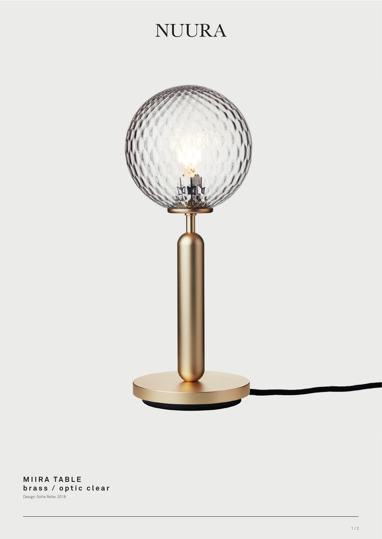## **NUURA**



**MIIRA TABLE brass / optic clear** Design: Sofie Refer, 2018